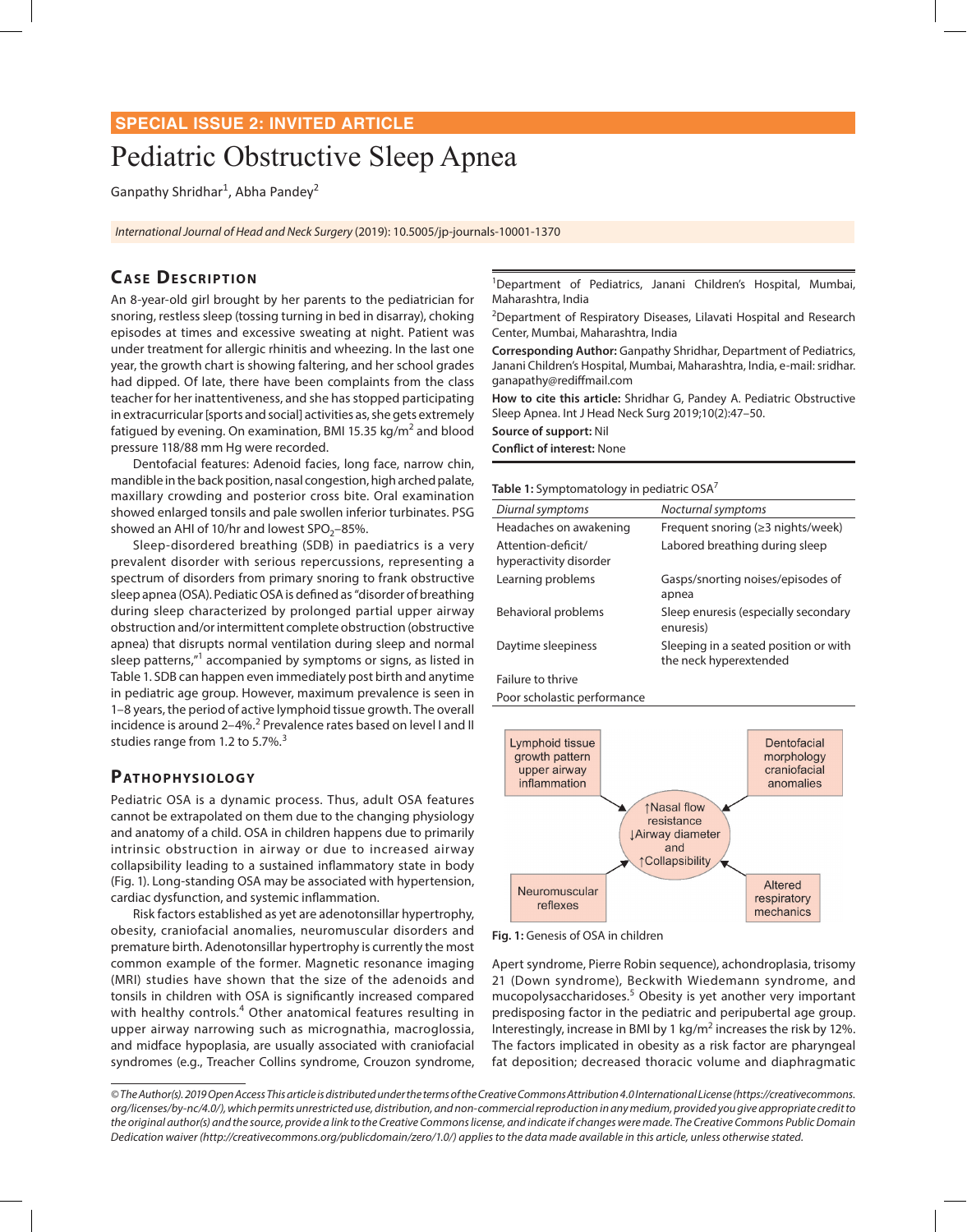# **SPECIAL ISSUE 2: INVITED ARTICLE**

# Pediatric Obstructive Sleep Apnea

Ganpathy Shridhar<sup>1</sup>, Abha Pandey<sup>2</sup>

*International Journal of Head and Neck Surgery* (2019): 10.5005/jp-journals-10001-1370

# **CASE DESCRIPTION**

An 8-year-old girl brought by her parents to the pediatrician for snoring, restless sleep (tossing turning in bed in disarray), choking episodes at times and excessive sweating at night. Patient was under treatment for allergic rhinitis and wheezing. In the last one year, the growth chart is showing faltering, and her school grades had dipped. Of late, there have been complaints from the class teacher for her inattentiveness, and she has stopped participating in extracurricular [sports and social] activities as, she gets extremely fatigued by evening. On examination, BMI 15.35 kg/m<sup>2</sup> and blood pressure 118/88 mm Hg were recorded.

Dentofacial features: Adenoid facies, long face, narrow chin, mandible in the back position, nasal congestion, high arched palate, maxillary crowding and posterior cross bite. Oral examination showed enlarged tonsils and pale swollen inferior turbinates. PSG showed an AHI of 10/hr and lowest  $SPO<sub>2</sub>$ –85%.

Sleep-disordered breathing (SDB) in paediatrics is a very prevalent disorder with serious repercussions, representing a spectrum of disorders from primary snoring to frank obstructive sleep apnea (OSA). Pediatic OSA is defined as "disorder of breathing during sleep characterized by prolonged partial upper airway obstruction and/or intermittent complete obstruction (obstructive apnea) that disrupts normal ventilation during sleep and normal sleep patterns,"<sup>1</sup> accompanied by symptoms or signs, as listed in Table 1. SDB can happen even immediately post birth and anytime in pediatric age group. However, maximum prevalence is seen in 1–8 years, the period of active lymphoid tissue growth. The overall incidence is around 2–4%.<sup>2</sup> Prevalence rates based on level I and II studies range from 1.2 to 5.7%.<sup>3</sup>

#### PATHOPHYSIOLOGY

Pediatric OSA is a dynamic process. Thus, adult OSA features cannot be extrapolated on them due to the changing physiology and anatomy of a child. OSA in children happens due to primarily intrinsic obstruction in airway or due to increased airway collapsibility leading to a sustained inflammatory state in body (Fig. 1). Long-standing OSA may be associated with hypertension, cardiac dysfunction, and systemic inflammation.

Risk factors established as yet are adenotonsillar hypertrophy, obesity, craniofacial anomalies, neuromuscular disorders and premature birth. Adenotonsillar hypertrophy is currently the most common example of the former. Magnetic resonance imaging (MRI) studies have shown that the size of the adenoids and tonsils in children with OSA is significantly increased compared with healthy controls.<sup>4</sup> Other anatomical features resulting in upper airway narrowing such as micrognathia, macroglossia, and midface hypoplasia, are usually associated with craniofacial syndromes (e.g., Treacher Collins syndrome, Crouzon syndrome, <sup>1</sup>Department of Pediatrics, Janani Children's Hospital, Mumbai, Maharashtra, India

<sup>2</sup>Department of Respiratory Diseases, Lilavati Hospital and Research Center, Mumbai, Maharashtra, India

**Corresponding Author:** Ganpathy Shridhar, Department of Pediatrics, Janani Children's Hospital, Mumbai, Maharashtra, India, e-mail: sridhar. ganapathy@rediffmail.com

**How to cite this article:** Shridhar G, Pandey A. Pediatric Obstructive Sleep Apnea. Int J Head Neck Surg 2019;10(2):47–50.

**Source of support:** Nil **Conflict of interest:** None

**Table 1:** Symptomatology in pediatric OSA<sup>7</sup>

| Diurnal symptoms                             | Nocturnal symptoms                                              |  |
|----------------------------------------------|-----------------------------------------------------------------|--|
| Headaches on awakening                       | Frequent snoring $(\geq 3 \text{ nights/week})$                 |  |
| Attention-deficit/<br>hyperactivity disorder | Labored breathing during sleep                                  |  |
| Learning problems                            | Gasps/snorting noises/episodes of<br>apnea                      |  |
| Behavioral problems                          | Sleep enuresis (especially secondary<br>enuresis)               |  |
| Daytime sleepiness                           | Sleeping in a seated position or with<br>the neck hyperextended |  |
| Failure to thrive                            |                                                                 |  |

Poor scholastic performance



**Fig. 1:** Genesis of OSA in children

Apert syndrome, Pierre Robin sequence), achondroplasia, trisomy 21 (Down syndrome), Beckwith Wiedemann syndrome, and mucopolysaccharidoses.<sup>5</sup> Obesity is yet another very important predisposing factor in the pediatric and peripubertal age group. Interestingly, increase in BMI by 1 kg/m<sup>2</sup> increases the risk by 12%. The factors implicated in obesity as a risk factor are pharyngeal fat deposition; decreased thoracic volume and diaphragmatic

*<sup>©</sup> The Author(s). 2019 Open Access This article is distributed under the terms of the Creative Commons Attribution 4.0 International License (https://creativecommons. org/licenses/by-nc/4.0/), which permits unrestricted use, distribution, and non-commercial reproduction in any medium, provided you give appropriate credit to the original author(s) and the source, provide a link to the Creative Commons license, and indicate if changes were made. The Creative Commons Public Domain Dedication waiver (http://creativecommons.org/publicdomain/zero/1.0/) applies to the data made available in this article, unless otherwise stated.*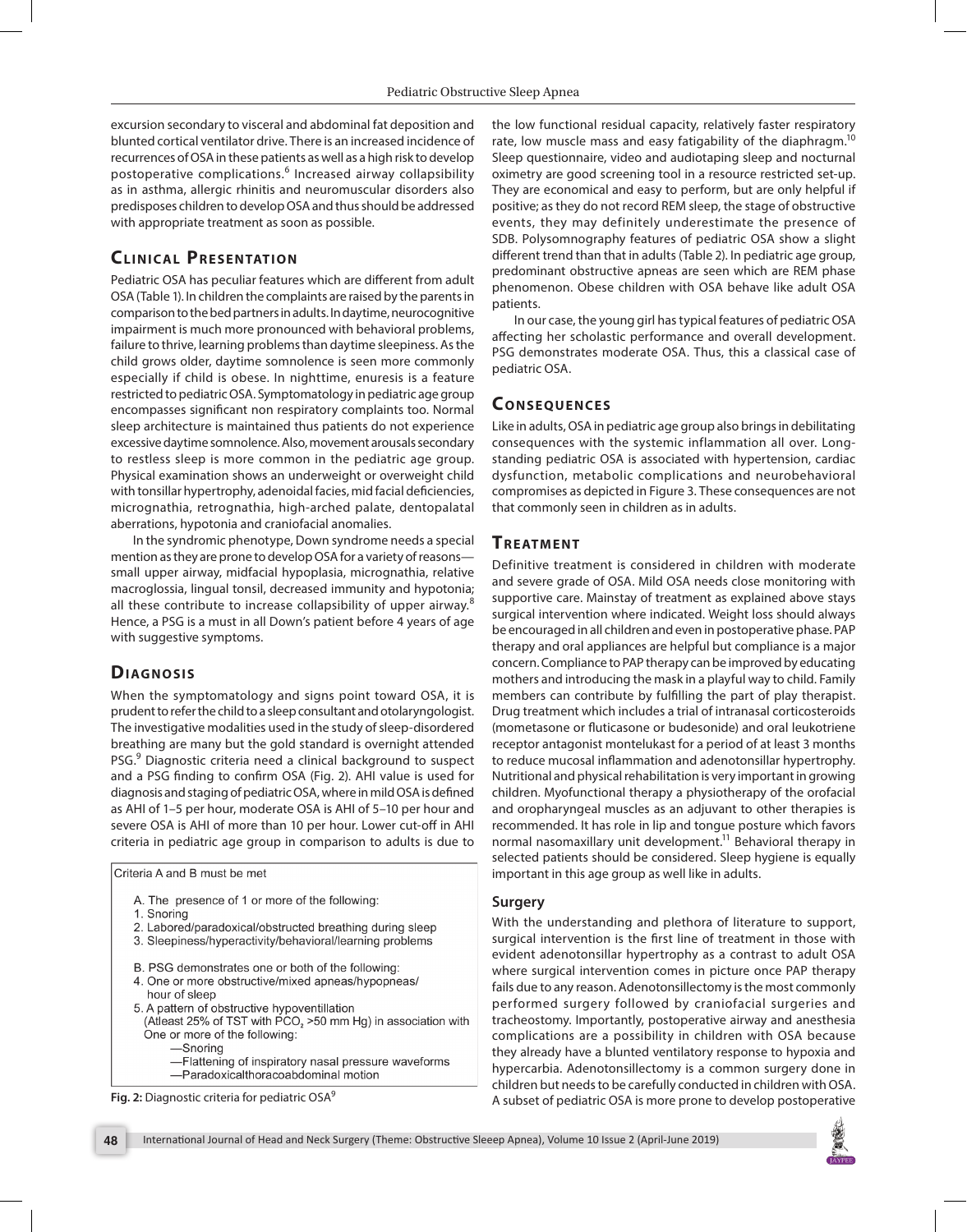excursion secondary to visceral and abdominal fat deposition and blunted cortical ventilator drive. There is an increased incidence of recurrences of OSA in these patients as well as a high risk to develop postoperative complications.<sup>6</sup> Increased airway collapsibility as in asthma, allergic rhinitis and neuromuscular disorders also predisposes children to develop OSA and thus should be addressed with appropriate treatment as soon as possible.

## **CLINICAL PRESENTATION**

Pediatric OSA has peculiar features which are different from adult OSA (Table 1). In children the complaints are raised by the parents in comparison to the bed partners in adults. In daytime, neurocognitive impairment is much more pronounced with behavioral problems, failure to thrive, learning problems than daytime sleepiness. As the child grows older, daytime somnolence is seen more commonly especially if child is obese. In nighttime, enuresis is a feature restricted to pediatric OSA. Symptomatology in pediatric age group encompasses significant non respiratory complaints too. Normal sleep architecture is maintained thus patients do not experience excessive daytime somnolence. Also, movement arousals secondary to restless sleep is more common in the pediatric age group. Physical examination shows an underweight or overweight child with tonsillar hypertrophy, adenoidal facies, mid facial deficiencies, micrognathia, retrognathia, high-arched palate, dentopalatal aberrations, hypotonia and craniofacial anomalies.

In the syndromic phenotype, Down syndrome needs a special mention as they are prone to develop OSA for a variety of reasons small upper airway, midfacial hypoplasia, micrognathia, relative macroglossia, lingual tonsil, decreased immunity and hypotonia; all these contribute to increase collapsibility of upper airway. $8$ Hence, a PSG is a must in all Down's patient before 4 years of age with suggestive symptoms.

#### **DIAGNOSIS**

When the symptomatology and signs point toward OSA, it is prudent to refer the child to a sleep consultant and otolaryngologist. The investigative modalities used in the study of sleep-disordered breathing are many but the gold standard is overnight attended PSG.<sup>9</sup> Diagnostic criteria need a clinical background to suspect and a PSG finding to confirm OSA (Fig. 2). AHI value is used for diagnosis and staging of pediatric OSA, where in mild OSA is defined as AHI of 1–5 per hour, moderate OSA is AHI of 5–10 per hour and severe OSA is AHI of more than 10 per hour. Lower cut-off in AHI criteria in pediatric age group in comparison to adults is due to

Criteria A and B must be met

- A. The presence of 1 or more of the following:
- 1. Snoring
- 2. Labored/paradoxical/obstructed breathing during sleep
- 3. Sleepiness/hyperactivity/behavioral/learning problems
- B. PSG demonstrates one or both of the following:
- 4. One or more obstructive/mixed apneas/hypopneas/
- hour of sleep 5. A pattern of obstructive hypoventillation
- (Atleast 25% of TST with  $PCO<sub>2</sub> > 50$  mm Hg) in association with One or more of the following:
	- -Snorina
	- -Flattening of inspiratory nasal pressure waveforms
- -Paradoxicalthoracoabdominal motion

the low functional residual capacity, relatively faster respiratory rate, low muscle mass and easy fatigability of the diaphragm.<sup>10</sup> Sleep questionnaire, video and audiotaping sleep and nocturnal oximetry are good screening tool in a resource restricted set-up. They are economical and easy to perform, but are only helpful if positive; as they do not record REM sleep, the stage of obstructive events, they may definitely underestimate the presence of SDB. Polysomnography features of pediatric OSA show a slight different trend than that in adults (Table 2). In pediatric age group, predominant obstructive apneas are seen which are REM phase phenomenon. Obese children with OSA behave like adult OSA patients.

In our case, the young girl has typical features of pediatric OSA affecting her scholastic performance and overall development. PSG demonstrates moderate OSA. Thus, this a classical case of pediatric OSA.

#### **Co n s e q u e nce s**

Like in adults, OSA in pediatric age group also brings in debilitating consequences with the systemic inflammation all over. Longstanding pediatric OSA is associated with hypertension, cardiac dysfunction, metabolic complications and neurobehavioral compromises as depicted in Figure 3. These consequences are not that commonly seen in children as in adults.

# **TREATMENT**

Definitive treatment is considered in children with moderate and severe grade of OSA. Mild OSA needs close monitoring with supportive care. Mainstay of treatment as explained above stays surgical intervention where indicated. Weight loss should always be encouraged in all children and even in postoperative phase. PAP therapy and oral appliances are helpful but compliance is a major concern. Compliance to PAP therapy can be improved by educating mothers and introducing the mask in a playful way to child. Family members can contribute by fulfilling the part of play therapist. Drug treatment which includes a trial of intranasal corticosteroids (mometasone or fluticasone or budesonide) and oral leukotriene receptor antagonist montelukast for a period of at least 3 months to reduce mucosal inflammation and adenotonsillar hypertrophy. Nutritional and physical rehabilitation is very important in growing children. Myofunctional therapy a physiotherapy of the orofacial and oropharyngeal muscles as an adjuvant to other therapies is recommended. It has role in lip and tongue posture which favors normal nasomaxillary unit development.<sup>11</sup> Behavioral therapy in selected patients should be considered. Sleep hygiene is equally important in this age group as well like in adults.

#### **Surgery**

With the understanding and plethora of literature to support, surgical intervention is the first line of treatment in those with evident adenotonsillar hypertrophy as a contrast to adult OSA where surgical intervention comes in picture once PAP therapy fails due to any reason. Adenotonsillectomy is the most commonly performed surgery followed by craniofacial surgeries and tracheostomy. Importantly, postoperative airway and anesthesia complications are a possibility in children with OSA because they already have a blunted ventilatory response to hypoxia and hypercarbia. Adenotonsillectomy is a common surgery done in children but needs to be carefully conducted in children with OSA. A subset of pediatric OSA is more prone to develop postoperative **Fig. 2:** Diagnostic criteria for pediatric OSA9

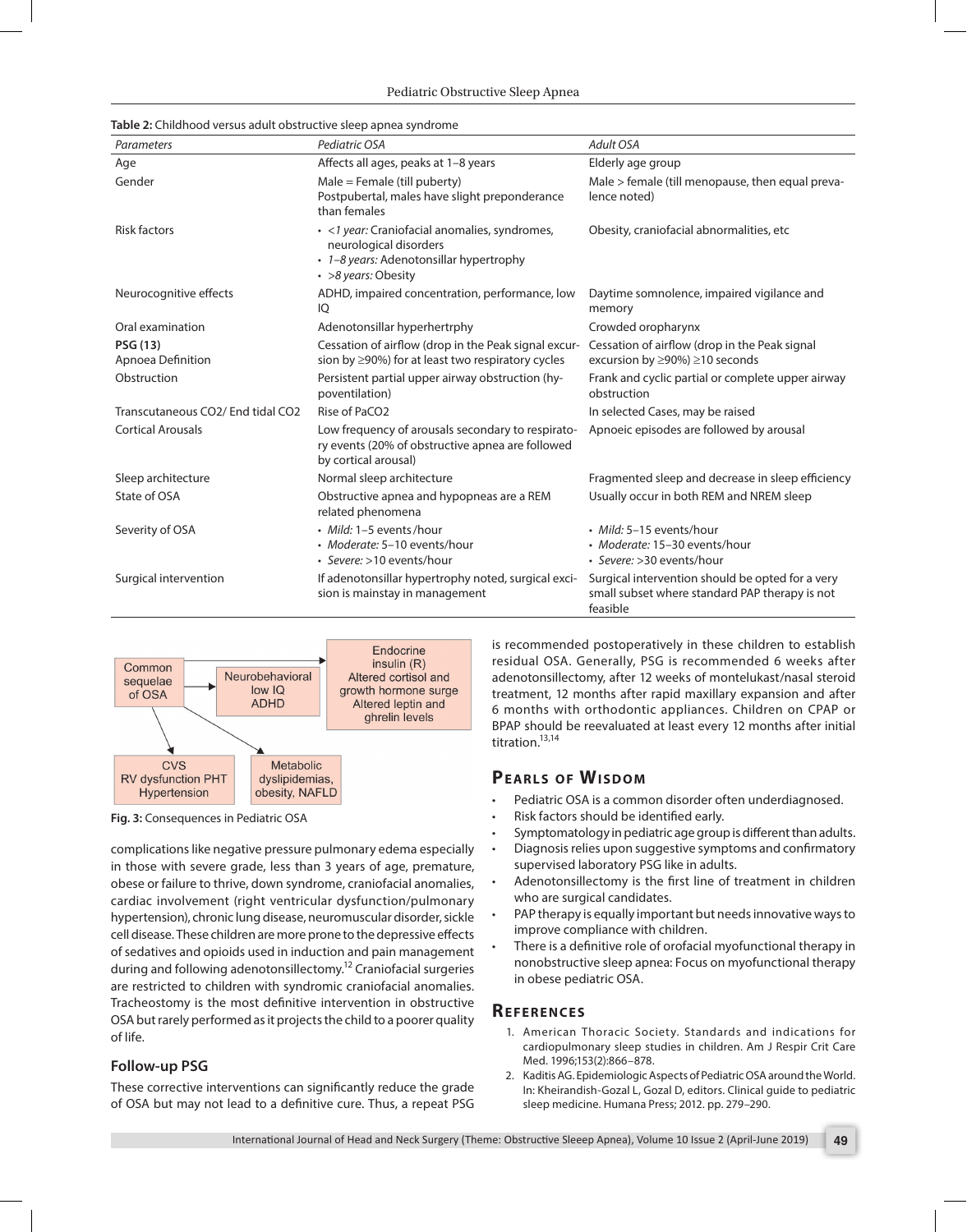Pediatric Obstructive Sleep Apnea

| Parameters                           | Pediatric OSA                                                                                                                             | Adult OSA                                                                                                      |
|--------------------------------------|-------------------------------------------------------------------------------------------------------------------------------------------|----------------------------------------------------------------------------------------------------------------|
| Age                                  | Affects all ages, peaks at 1-8 years                                                                                                      | Elderly age group                                                                                              |
| Gender                               | $Male = Female (till puberty)$<br>Postpubertal, males have slight preponderance<br>than females                                           | Male > female (till menopause, then equal preva-<br>lence noted)                                               |
| <b>Risk factors</b>                  | · <1 year: Craniofacial anomalies, syndromes,<br>neurological disorders<br>• 1-8 years: Adenotonsillar hypertrophy<br>• >8 years: Obesity | Obesity, craniofacial abnormalities, etc.                                                                      |
| Neurocognitive effects               | ADHD, impaired concentration, performance, low<br>IQ                                                                                      | Daytime somnolence, impaired vigilance and<br>memory                                                           |
| Oral examination                     | Adenotonsillar hyperhertrphy                                                                                                              | Crowded oropharynx                                                                                             |
| <b>PSG (13)</b><br>Apnoea Definition | Cessation of airflow (drop in the Peak signal excur-<br>sion by ≥90%) for at least two respiratory cycles                                 | Cessation of airflow (drop in the Peak signal<br>excursion by ≥90%) ≥10 seconds                                |
| Obstruction                          | Persistent partial upper airway obstruction (hy-<br>poventilation)                                                                        | Frank and cyclic partial or complete upper airway<br>obstruction                                               |
| Transcutaneous CO2/ End tidal CO2    | Rise of PaCO <sub>2</sub>                                                                                                                 | In selected Cases, may be raised                                                                               |
| <b>Cortical Arousals</b>             | Low frequency of arousals secondary to respirato-<br>ry events (20% of obstructive apnea are followed<br>by cortical arousal)             | Apnoeic episodes are followed by arousal                                                                       |
| Sleep architecture                   | Normal sleep architecture                                                                                                                 | Fragmented sleep and decrease in sleep efficiency                                                              |
| State of OSA                         | Obstructive apnea and hypopneas are a REM<br>related phenomena                                                                            | Usually occur in both REM and NREM sleep                                                                       |
| Severity of OSA                      | • Mild: 1-5 events/hour<br>· Moderate: 5-10 events/hour<br>• Severe: >10 events/hour                                                      | · Mild: 5-15 events/hour<br>· Moderate: 15-30 events/hour<br>· Severe: > 30 events/hour                        |
| Surgical intervention                | If adenotonsillar hypertrophy noted, surgical exci-<br>sion is mainstay in management                                                     | Surgical intervention should be opted for a very<br>small subset where standard PAP therapy is not<br>feasible |





**Fig. 3:** Consequences in Pediatric OSA

complications like negative pressure pulmonary edema especially in those with severe grade, less than 3 years of age, premature, obese or failure to thrive, down syndrome, craniofacial anomalies, cardiac involvement (right ventricular dysfunction/pulmonary hypertension), chronic lung disease, neuromuscular disorder, sickle cell disease. These children are more prone to the depressive effects of sedatives and opioids used in induction and pain management during and following adenotonsillectomy.12 Craniofacial surgeries are restricted to children with syndromic craniofacial anomalies. Tracheostomy is the most definitive intervention in obstructive OSA but rarely performed as it projects the child to a poorer quality of life.

#### **Follow-up PSG**

These corrective interventions can significantly reduce the grade of OSA but may not lead to a definitive cure. Thus, a repeat PSG

is recommended postoperatively in these children to establish residual OSA. Generally, PSG is recommended 6 weeks after adenotonsillectomy, after 12 weeks of montelukast/nasal steroid treatment, 12 months after rapid maxillary expansion and after 6 months with orthodontic appliances. Children on CPAP or BPAP should be reevaluated at least every 12 months after initial titration.<sup>13,14</sup>

## **PEARLS OF WISDOM**

- Pediatric OSA is a common disorder often underdiagnosed.
- Risk factors should be identified early.
- Symptomatology in pediatric age group is different than adults.
- Diagnosis relies upon suggestive symptoms and confirmatory supervised laboratory PSG like in adults.
- Adenotonsillectomy is the first line of treatment in children who are surgical candidates.
- PAP therapy is equally important but needs innovative ways to improve compliance with children.
- There is a definitive role of orofacial myofunctional therapy in nonobstructive sleep apnea: Focus on myofunctional therapy in obese pediatric OSA.

# **Re f e r e nce s**

- 1. American Thoracic Society. Standards and indications for cardiopulmonary sleep studies in children. Am J Respir Crit Care Med. 1996;153(2):866–878.
- 2. Kaditis AG. Epidemiologic Aspects of Pediatric OSA around the World. In: Kheirandish-Gozal L, Gozal D, editors. Clinical guide to pediatric sleep medicine. Humana Press; 2012. pp. 279–290.